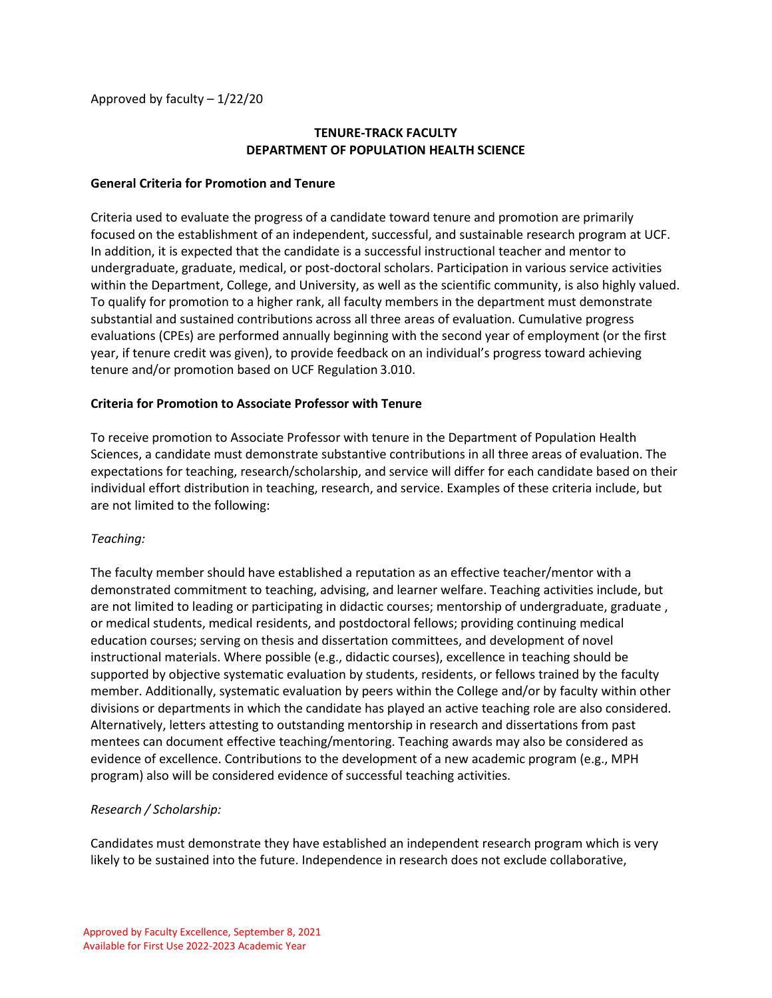Approved by faculty – 1/22/20

# **TENURE-TRACK FACULTY DEPARTMENT OF POPULATION HEALTH SCIENCE**

### **General Criteria for Promotion and Tenure**

Criteria used to evaluate the progress of a candidate toward tenure and promotion are primarily focused on the establishment of an independent, successful, and sustainable research program at UCF. In addition, it is expected that the candidate is a successful instructional teacher and mentor to undergraduate, graduate, medical, or post-doctoral scholars. Participation in various service activities within the Department, College, and University, as well as the scientific community, is also highly valued. To qualify for promotion to a higher rank, all faculty members in the department must demonstrate substantial and sustained contributions across all three areas of evaluation. Cumulative progress evaluations (CPEs) are performed annually beginning with the second year of employment (or the first year, if tenure credit was given), to provide feedback on an individual's progress toward achieving tenure and/or promotion based on UCF Regulation 3.010.

#### **Criteria for Promotion to Associate Professor with Tenure**

To receive promotion to Associate Professor with tenure in the Department of Population Health Sciences, a candidate must demonstrate substantive contributions in all three areas of evaluation. The expectations for teaching, research/scholarship, and service will differ for each candidate based on their individual effort distribution in teaching, research, and service. Examples of these criteria include, but are not limited to the following:

#### *Teaching:*

The faculty member should have established a reputation as an effective teacher/mentor with a demonstrated commitment to teaching, advising, and learner welfare. Teaching activities include, but are not limited to leading or participating in didactic courses; mentorship of undergraduate, graduate , or medical students, medical residents, and postdoctoral fellows; providing continuing medical education courses; serving on thesis and dissertation committees, and development of novel instructional materials. Where possible (e.g., didactic courses), excellence in teaching should be supported by objective systematic evaluation by students, residents, or fellows trained by the faculty member. Additionally, systematic evaluation by peers within the College and/or by faculty within other divisions or departments in which the candidate has played an active teaching role are also considered. Alternatively, letters attesting to outstanding mentorship in research and dissertations from past mentees can document effective teaching/mentoring. Teaching awards may also be considered as evidence of excellence. Contributions to the development of a new academic program (e.g., MPH program) also will be considered evidence of successful teaching activities.

# *Research / Scholarship:*

Candidates must demonstrate they have established an independent research program which is very likely to be sustained into the future. Independence in research does not exclude collaborative,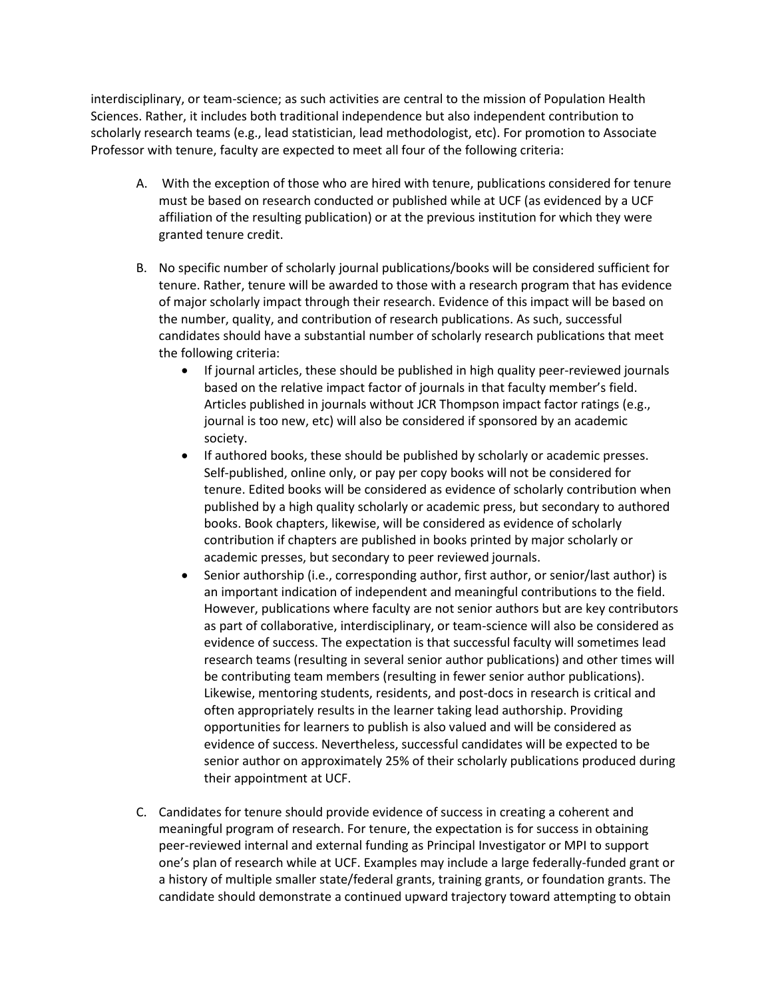interdisciplinary, or team-science; as such activities are central to the mission of Population Health Sciences. Rather, it includes both traditional independence but also independent contribution to scholarly research teams (e.g., lead statistician, lead methodologist, etc). For promotion to Associate Professor with tenure, faculty are expected to meet all four of the following criteria:

- A. With the exception of those who are hired with tenure, publications considered for tenure must be based on research conducted or published while at UCF (as evidenced by a UCF affiliation of the resulting publication) or at the previous institution for which they were granted tenure credit.
- B. No specific number of scholarly journal publications/books will be considered sufficient for tenure. Rather, tenure will be awarded to those with a research program that has evidence of major scholarly impact through their research. Evidence of this impact will be based on the number, quality, and contribution of research publications. As such, successful candidates should have a substantial number of scholarly research publications that meet the following criteria:
	- If journal articles, these should be published in high quality peer-reviewed journals based on the relative impact factor of journals in that faculty member's field. Articles published in journals without JCR Thompson impact factor ratings (e.g., journal is too new, etc) will also be considered if sponsored by an academic society.
	- If authored books, these should be published by scholarly or academic presses. Self-published, online only, or pay per copy books will not be considered for tenure. Edited books will be considered as evidence of scholarly contribution when published by a high quality scholarly or academic press, but secondary to authored books. Book chapters, likewise, will be considered as evidence of scholarly contribution if chapters are published in books printed by major scholarly or academic presses, but secondary to peer reviewed journals.
	- Senior authorship (i.e., corresponding author, first author, or senior/last author) is an important indication of independent and meaningful contributions to the field. However, publications where faculty are not senior authors but are key contributors as part of collaborative, interdisciplinary, or team-science will also be considered as evidence of success. The expectation is that successful faculty will sometimes lead research teams (resulting in several senior author publications) and other times will be contributing team members (resulting in fewer senior author publications). Likewise, mentoring students, residents, and post-docs in research is critical and often appropriately results in the learner taking lead authorship. Providing opportunities for learners to publish is also valued and will be considered as evidence of success. Nevertheless, successful candidates will be expected to be senior author on approximately 25% of their scholarly publications produced during their appointment at UCF.
- C. Candidates for tenure should provide evidence of success in creating a coherent and meaningful program of research. For tenure, the expectation is for success in obtaining peer-reviewed internal and external funding as Principal Investigator or MPI to support one's plan of research while at UCF. Examples may include a large federally-funded grant or a history of multiple smaller state/federal grants, training grants, or foundation grants. The candidate should demonstrate a continued upward trajectory toward attempting to obtain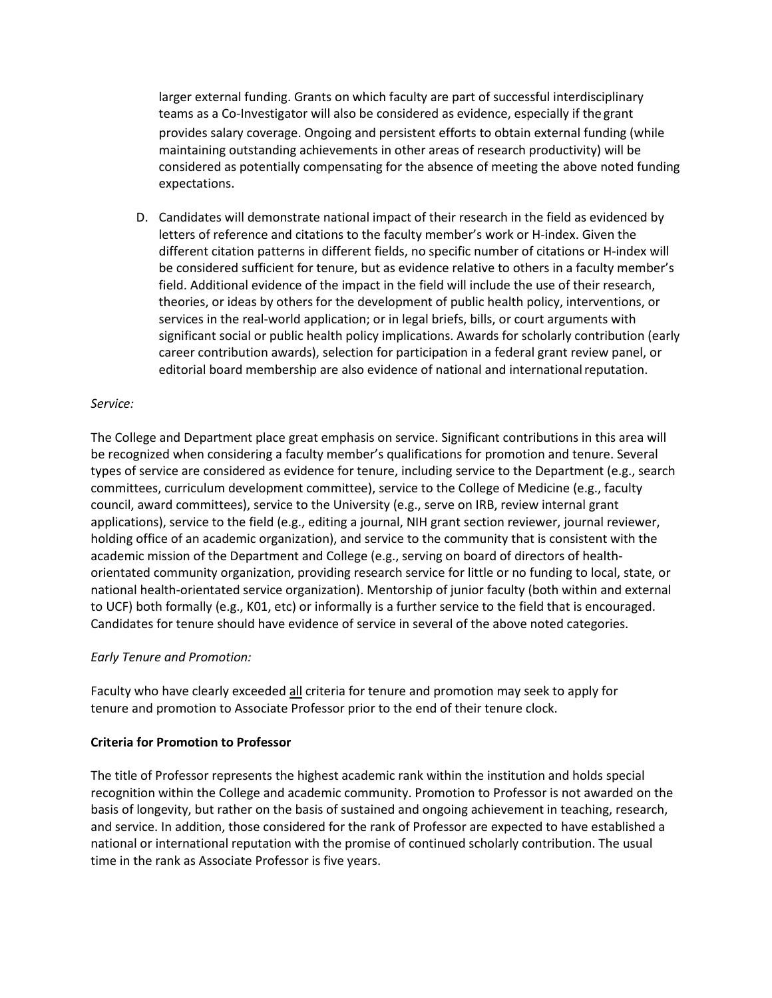larger external funding. Grants on which faculty are part of successful interdisciplinary teams as a Co-Investigator will also be considered as evidence, especially if the grant provides salary coverage. Ongoing and persistent efforts to obtain external funding (while maintaining outstanding achievements in other areas of research productivity) will be considered as potentially compensating for the absence of meeting the above noted funding expectations.

D. Candidates will demonstrate national impact of their research in the field as evidenced by letters of reference and citations to the faculty member's work or H-index. Given the different citation patterns in different fields, no specific number of citations or H-index will be considered sufficient for tenure, but as evidence relative to others in a faculty member's field. Additional evidence of the impact in the field will include the use of their research, theories, or ideas by others for the development of public health policy, interventions, or services in the real-world application; or in legal briefs, bills, or court arguments with significant social or public health policy implications. Awards for scholarly contribution (early career contribution awards), selection for participation in a federal grant review panel, or editorial board membership are also evidence of national and international reputation.

### *Service:*

The College and Department place great emphasis on service. Significant contributions in this area will be recognized when considering a faculty member's qualifications for promotion and tenure. Several types of service are considered as evidence for tenure, including service to the Department (e.g., search committees, curriculum development committee), service to the College of Medicine (e.g., faculty council, award committees), service to the University (e.g., serve on IRB, review internal grant applications), service to the field (e.g., editing a journal, NIH grant section reviewer, journal reviewer, holding office of an academic organization), and service to the community that is consistent with the academic mission of the Department and College (e.g., serving on board of directors of healthorientated community organization, providing research service for little or no funding to local, state, or national health-orientated service organization). Mentorship of junior faculty (both within and external to UCF) both formally (e.g., K01, etc) or informally is a further service to the field that is encouraged. Candidates for tenure should have evidence of service in several of the above noted categories.

#### *Early Tenure and Promotion:*

Faculty who have clearly exceeded all criteria for tenure and promotion may seek to apply for tenure and promotion to Associate Professor prior to the end of their tenure clock.

#### **Criteria for Promotion to Professor**

The title of Professor represents the highest academic rank within the institution and holds special recognition within the College and academic community. Promotion to Professor is not awarded on the basis of longevity, but rather on the basis of sustained and ongoing achievement in teaching, research, and service. In addition, those considered for the rank of Professor are expected to have established a national or international reputation with the promise of continued scholarly contribution. The usual time in the rank as Associate Professor is five years.